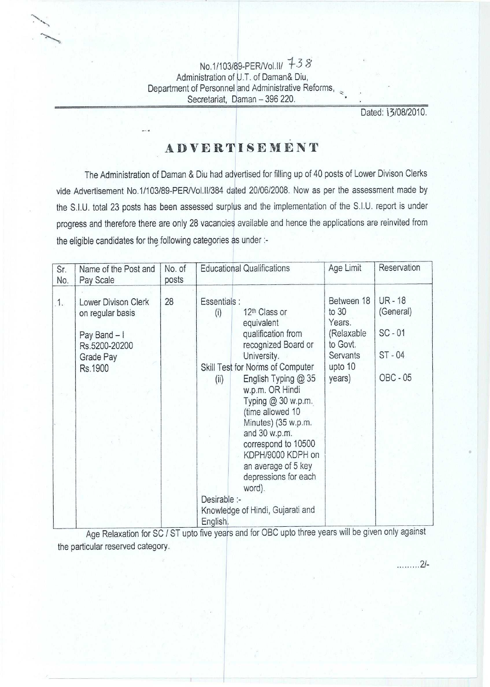**No.1/103/89-PER/Vol.II/ 7-3 8 Administration of U.T. of Daman& Diu, Department of Personnel and Administrative Reforms, Secretariat, Daman - 396 220.**

Dated: 13/08/2010.

..... I...2/-

## ADVERTISE **<sup>M</sup>** ENT

The Administration of Daman & Diu had advertised for filling up of 40 posts of Lower Divison Clerks vide Advertisement No.1/103189-PER/Vol.ll/384 dated 20/06/2008. Now as per the assessment made by the S.I.U. total 23 posts has been assessed surplus and the implementation of the S.I.U. report is under progress and therefore there are only 28 vacancies available and hence the applications are reinvited from the eligible candidates for the following categories as under :-

| Sr.<br>No. | Name of the Post and<br>Pay Scale                                                                | No. of<br>posts |                                                         | <b>Educational Qualifications</b>                                                                                                                                                                                                                                                                                                                                                                             | Age Limit                                                                                | Reservation                                                        |
|------------|--------------------------------------------------------------------------------------------------|-----------------|---------------------------------------------------------|---------------------------------------------------------------------------------------------------------------------------------------------------------------------------------------------------------------------------------------------------------------------------------------------------------------------------------------------------------------------------------------------------------------|------------------------------------------------------------------------------------------|--------------------------------------------------------------------|
| 1.         | Lower Divison Clerk<br>on regular basis<br>Pay Band - I<br>Rs.5200-20200<br>Grade Pay<br>Rs.1900 | 28              | Essentials :<br>(i)<br>(ii)<br>Desirable :-<br>English. | 12 <sup>th</sup> Class or<br>equivalent<br>qualification from<br>recognized Board or<br>University.<br>Skill Test for Norms of Computer<br>English Typing @ 35<br>w.p.m. OR Hindi<br>Typing $@30$ w.p.m.<br>(time allowed 10<br>Minutes) (35 w.p.m.<br>and 30 w.p.m.<br>correspond to 10500<br>KDPH/9000 KDPH on<br>an average of 5 key<br>depressions for each<br>word).<br>Knowledge of Hindi, Gujarati and | Between 18<br>to 30<br>Years.<br>(Relaxable<br>to Govt.<br>Servants<br>upto 10<br>years) | <b>UR-18</b><br>(General)<br>$SC - 01$<br>ST-04<br><b>OBC - 05</b> |

Age Relaxation for SC / ST upto five years and for OBC upto three years will be given only agains the particular reserved category.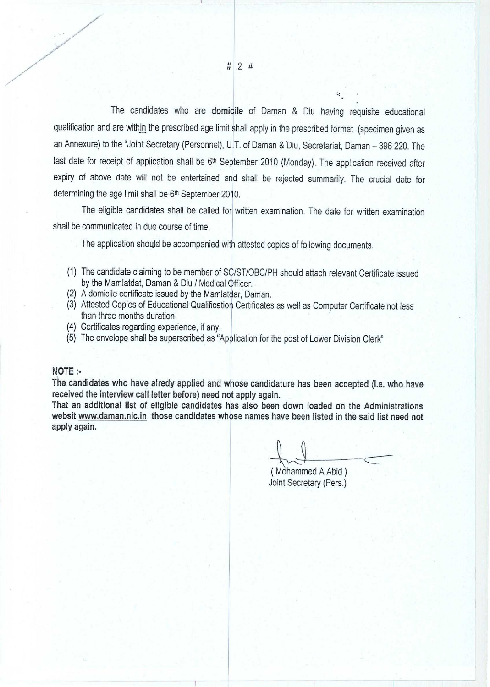The candidates who are domicile of Daman & Diu having requisite educational qualification and are within the prescribed age limit shall apply in the prescribed format (specimen given as an Annexure) to the "Joint Secretary (Personnel), U.T. of Daman & Diu, Secretariat, Daman - 396 220. The last date for receipt of application shall be 6<sup>th</sup> September 2010 (Monday). The application received after expiry of above date will not be entertained and shall be rejected summarily. The crucial date for determining the age limit shall be 6th September 2010.

The eligible candidates shall be called for written examination. The date for written examination shall be communicated in due course of time.

The application should be accompanied with attested copies of following documents.

- **(1) The candidate claiming to be member** of SC/ST/OBC/PH **should attach relevant Certificate issued by the Mamlatdat** , **Daman & Diu** / **Medical Officer.**
- (**2) A domicile certificate issued by the Mamlatdar**, **Daman.**
- **(3) Attested Copies of Educational Qualification Certificates as well as Computer Certificate not less than three months duration.**
- (**4) Certificates regarding experience** , **if any.**
- **(5) The envelope shall be superscribed as "Application for the post of Lower Division Clerk"**

## NOTE:-

V

 $\overline{\phantom{a}}$ 

**The candidates who have alredy applied and whose candidature has been accepted** ( **i.e. who have received the interview call letter before) need not apply again.**

**That an additional list of eligible candidates has also been down loaded on the Administrations** websit www.daman.nic.in those candidates whose names have been listed in the said list need not **apply again.**

( Mohammed A Abid ) Joint Secretary (Pers.)